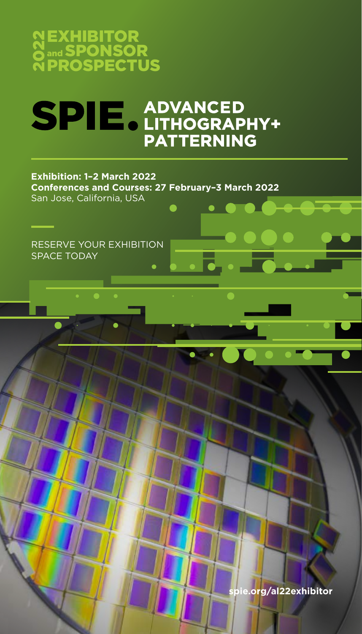

# SPIE ADVANCED<br>PATTERNING

#### **Exhibition: 1–2 March 2022 Conferences and Courses: 27 February–3 March 2022** San Jose, California, USA  $\bullet$   $\bullet$   $\bullet$

RESERVE YOUR EXHIBITION SPACE TODAY

**spie.org/al22exhibitor**

 $\overline{\bullet}$  ,  $\overline{\bullet}$  ,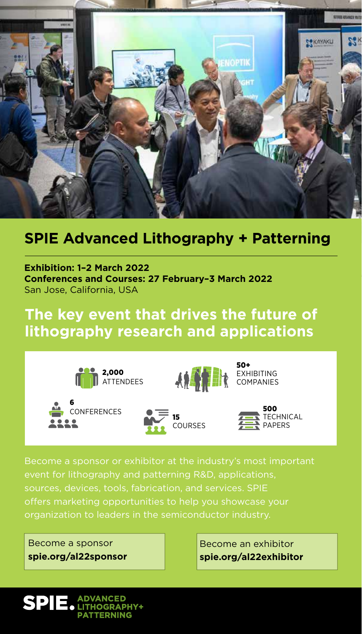

## **SPIE Advanced Lithography + Patterning**

**Exhibition: 1–2 March 2022 Conferences and Courses: 27 February–3 March 2022** San Jose, California, USA

# **The key event that drives the future of lithography research and applications**













Become a sponsor or exhibitor at the industry's most important event for lithography and patterning R&D, applications, sources, devices, tools, fabrication, and services. SPIE offers marketing opportunities to help you showcase your organization to leaders in the semiconductor industry.

Become a sponsor **spie.org/al22sponsor**

Become an exhibitor **spie.org/al22exhibitor**

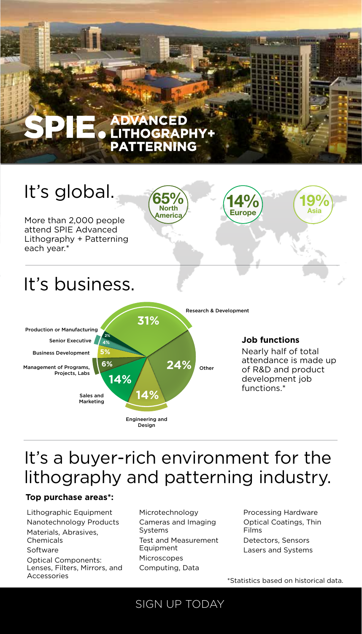# **E ADVANCED<br>E LITHOGRAPHY+ PATTERNING**



# It's a buyer-rich environment for the lithography and patterning industry.

#### **Top purchase areas\*:**

Lithographic Equipment Nanotechnology Products Materials, Abrasives, Chemicals Software Optical Components: Lenses, Filters, Mirrors, and Accessories

Microtechnology Cameras and Imaging Systems Test and Measurement Equipment Microscopes Computing, Data

SIGN UP TODAY

Processing Hardware Optical Coatings, Thin Films Detectors, Sensors Lasers and Systems

\*Statistics based on historical data.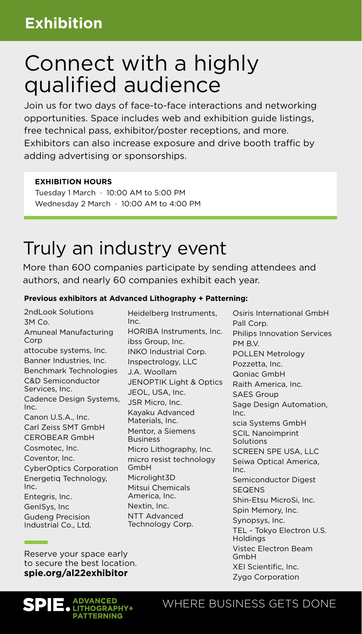# Connect with a highly qualified audience

Join us for two days of face-to-face interactions and networking opportunities. Space includes web and exhibition guide listings, free technical pass, exhibitor/poster receptions, and more. Exhibitors can also increase exposure and drive booth traffic by adding advertising or sponsorships.

#### **EXHIBITION HOURS**

Tuesday 1 March · 10:00 AM to 5:00 PM Wednesday 2 March · 10:00 AM to 4:00 PM

# Truly an industry event

More than 600 companies participate by sending attendees and authors, and nearly 60 companies exhibit each year.

#### **Previous exhibitors at Advanced Lithography + Patterning:**

2ndLook Solutions 3M Co. Amuneal Manufacturing Corp attocube systems, Inc. Banner Industries, Inc. Benchmark Technologies C&D Semiconductor Services, Inc. Cadence Design Systems, Inc. Canon U.S.A., Inc. Carl Zeiss SMT GmbH CEROBEAR GmbH Cosmotec, Inc. Coventor, Inc. CyberOptics Corporation Energetiq Technology, Inc. Entegris, Inc. GenISys, Inc Gudeng Precision Industrial Co., Ltd.

Heidelberg Instruments, Inc. HORIBA Instruments, Inc. ibss Group, Inc. INKO Industrial Corp. Inspectrology, LLC J.A. Woollam JENOPTIK Light & Optics JEOL, USA, Inc. JSR Micro, Inc. Kayaku Advanced Materials, Inc. Mentor, a Siemens Business Micro Lithography, Inc. micro resist technology GmbH Microlight3D Mitsui Chemicals America, Inc. Nextin, Inc. NTT Advanced Technology Corp.

Osiris International GmbH Pall Corp. Philips Innovation Services PM B.V. POLLEN Metrology Pozzetta, Inc. Qoniac GmbH Raith America, Inc. SAES Group Sage Design Automation, Inc. scia Systems GmbH SCIL Nanoimprint Solutions SCREEN SPE USA, LLC Seiwa Optical America, Inc. Semiconductor Digest **SEQENS** Shin-Etsu MicroSi, Inc. Spin Memory, Inc. Synopsys, Inc. TEL - Tokyo Electron U.S. Holdings Vistec Electron Beam GmbH XEI Scientific, Inc. Zygo Corporation

Reserve your space early to secure the best location. **spie.org/al22exhibitor**

#### ADVANCED LITHOGRAPHY+ **PATTERNING**

### WHERE BUSINESS GETS DONE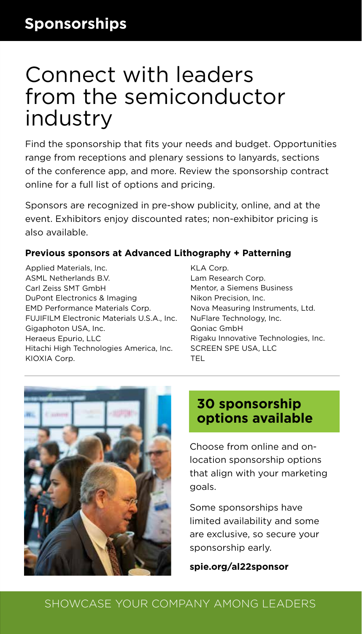# Connect with leaders from the semiconductor industry

Find the sponsorship that fits your needs and budget. Opportunities range from receptions and plenary sessions to lanyards, sections of the conference app, and more. Review the sponsorship contract online for a full list of options and pricing.

Sponsors are recognized in pre-show publicity, online, and at the event. Exhibitors enjoy discounted rates; non-exhibitor pricing is also available.

### **Previous sponsors at Advanced Lithography + Patterning**

Applied Materials, Inc. ASML Netherlands B.V. Carl Zeiss SMT GmbH DuPont Electronics & Imaging EMD Performance Materials Corp. FUJIFILM Electronic Materials U.S.A., Inc. Gigaphoton USA, Inc. Heraeus Epurio, LLC Hitachi High Technologies America, Inc. KIOXIA Corp.

KLA Corp. Lam Research Corp. Mentor, a Siemens Business Nikon Precision, Inc. Nova Measuring Instruments, Ltd. NuFlare Technology, Inc. Qoniac GmbH Rigaku Innovative Technologies, Inc. SCREEN SPE USA, LLC TEL



### **30 sponsorship options available**

Choose from online and onlocation sponsorship options that align with your marketing goals.

Some sponsorships have limited availability and some are exclusive, so secure your sponsorship early.

**spie.org/al22sponsor**

### SHOWCASE YOUR COMPANY AMONG LEADERS